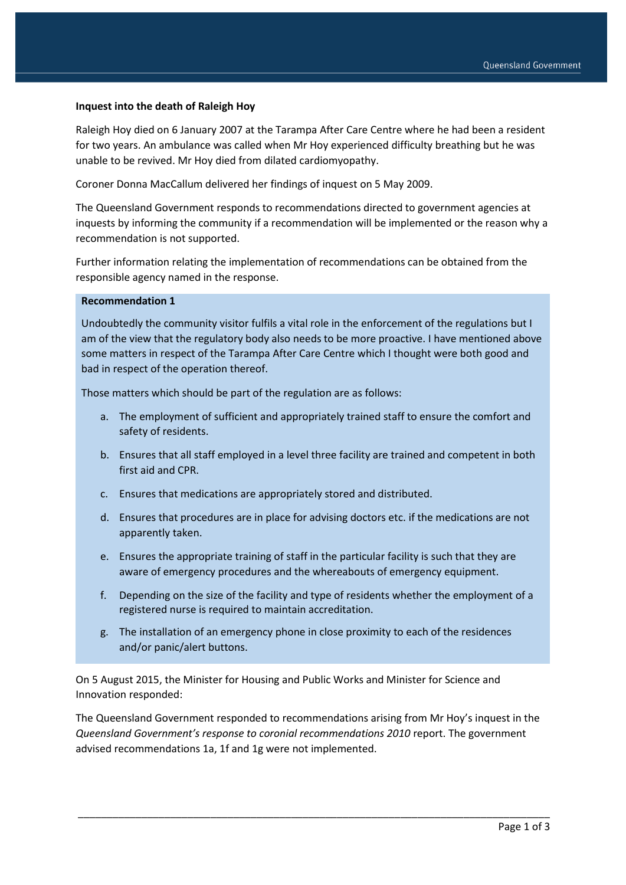#### **Inquest into the death of Raleigh Hoy**

Raleigh Hoy died on 6 January 2007 at the Tarampa After Care Centre where he had been a resident for two years. An ambulance was called when Mr Hoy experienced difficulty breathing but he was unable to be revived. Mr Hoy died from dilated cardiomyopathy.

Coroner Donna MacCallum delivered her findings of inquest on 5 May 2009.

The Queensland Government responds to recommendations directed to government agencies at inquests by informing the community if a recommendation will be implemented or the reason why a recommendation is not supported.

Further information relating the implementation of recommendations can be obtained from the responsible agency named in the response.

#### **Recommendation 1**

Undoubtedly the community visitor fulfils a vital role in the enforcement of the regulations but I am of the view that the regulatory body also needs to be more proactive. I have mentioned above some matters in respect of the Tarampa After Care Centre which I thought were both good and bad in respect of the operation thereof.

Those matters which should be part of the regulation are as follows:

- a. The employment of sufficient and appropriately trained staff to ensure the comfort and safety of residents.
- b. Ensures that all staff employed in a level three facility are trained and competent in both first aid and CPR.
- c. Ensures that medications are appropriately stored and distributed.
- d. Ensures that procedures are in place for advising doctors etc. if the medications are not apparently taken.
- e. Ensures the appropriate training of staff in the particular facility is such that they are aware of emergency procedures and the whereabouts of emergency equipment.
- f. Depending on the size of the facility and type of residents whether the employment of a registered nurse is required to maintain accreditation.
- g. The installation of an emergency phone in close proximity to each of the residences and/or panic/alert buttons.

On 5 August 2015, the Minister for Housing and Public Works and Minister for Science and Innovation responded:

The Queensland Government responded to recommendations arising from Mr Hoy's inquest in the *Queensland Government's response to coronial recommendations 2010* report. The government advised recommendations 1a, 1f and 1g were not implemented.

\_\_\_\_\_\_\_\_\_\_\_\_\_\_\_\_\_\_\_\_\_\_\_\_\_\_\_\_\_\_\_\_\_\_\_\_\_\_\_\_\_\_\_\_\_\_\_\_\_\_\_\_\_\_\_\_\_\_\_\_\_\_\_\_\_\_\_\_\_\_\_\_\_\_\_\_\_\_\_\_\_\_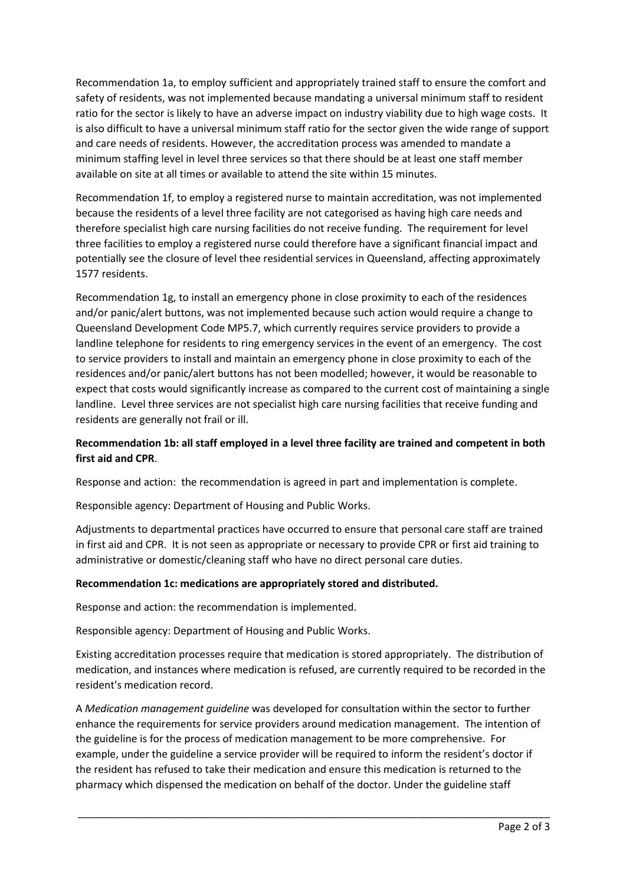Recommendation 1a, to employ sufficient and appropriately trained staff to ensure the comfort and safety of residents, was not implemented because mandating a universal minimum staff to resident ratio for the sector is likely to have an adverse impact on industry viability due to high wage costs. It is also difficult to have a universal minimum staff ratio for the sector given the wide range of support and care needs of residents. However, the accreditation process was amended to mandate a minimum staffing level in level three services so that there should be at least one staff member available on site at all times or available to attend the site within 15 minutes.

Recommendation 1f, to employ a registered nurse to maintain accreditation, was not implemented because the residents of a level three facility are not categorised as having high care needs and therefore specialist high care nursing facilities do not receive funding. The requirement for level three facilities to employ a registered nurse could therefore have a significant financial impact and potentially see the closure of level thee residential services in Queensland, affecting approximately 1577 residents.

Recommendation 1g, to install an emergency phone in close proximity to each of the residences and/or panic/alert buttons, was not implemented because such action would require a change to Queensland Development Code MP5.7, which currently requires service providers to provide a landline telephone for residents to ring emergency services in the event of an emergency. The cost to service providers to install and maintain an emergency phone in close proximity to each of the residences and/or panic/alert buttons has not been modelled; however, it would be reasonable to expect that costs would significantly increase as compared to the current cost of maintaining a single landline. Level three services are not specialist high care nursing facilities that receive funding and residents are generally not frail or ill.

# **Recommendation 1b: all staff employed in a level three facility are trained and competent in both first aid and CPR**.

Response and action: the recommendation is agreed in part and implementation is complete.

Responsible agency: Department of Housing and Public Works.

Adjustments to departmental practices have occurred to ensure that personal care staff are trained in first aid and CPR. It is not seen as appropriate or necessary to provide CPR or first aid training to administrative or domestic/cleaning staff who have no direct personal care duties.

### **Recommendation 1c: medications are appropriately stored and distributed.**

Response and action: the recommendation is implemented.

Responsible agency: Department of Housing and Public Works.

Existing accreditation processes require that medication is stored appropriately. The distribution of medication, and instances where medication is refused, are currently required to be recorded in the resident's medication record.

A *Medication management guideline* was developed for consultation within the sector to further enhance the requirements for service providers around medication management. The intention of the guideline is for the process of medication management to be more comprehensive. For example, under the guideline a service provider will be required to inform the resident's doctor if the resident has refused to take their medication and ensure this medication is returned to the pharmacy which dispensed the medication on behalf of the doctor. Under the guideline staff

\_\_\_\_\_\_\_\_\_\_\_\_\_\_\_\_\_\_\_\_\_\_\_\_\_\_\_\_\_\_\_\_\_\_\_\_\_\_\_\_\_\_\_\_\_\_\_\_\_\_\_\_\_\_\_\_\_\_\_\_\_\_\_\_\_\_\_\_\_\_\_\_\_\_\_\_\_\_\_\_\_\_